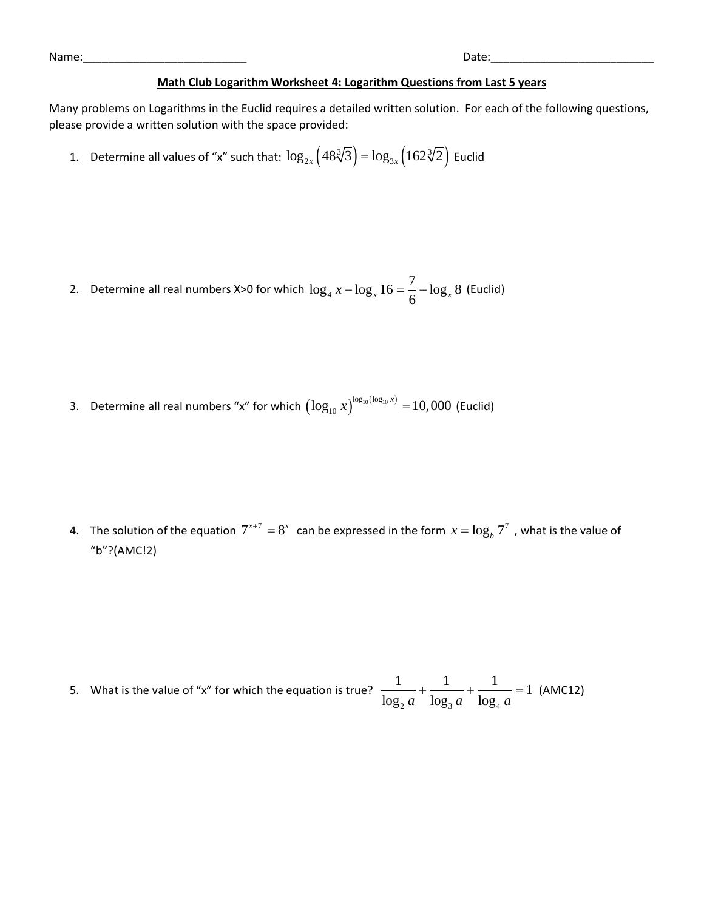| Name | Jate |
|------|------|
|      |      |

## **Math Club Logarithm Worksheet 4: Logarithm Questions from Last 5 years**

Many problems on Logarithms in the Euclid requires a detailed written solution. For each of the following questions, please provide a written solution with the space provided:

1. Determine all values of "x" such that:  $\log_{2x}\left(48\sqrt[3]{3}\right) = \log_{3x}\left(162\sqrt[3]{2}\right)$  $\log_{2x} (48\sqrt[3]{3}) = \log_{3x} (162\sqrt[3]{2})$  Euclid

- 2. Determine all real numbers X>0 for which  $\log_4$  $\log_4 x - \log_x 16 = \frac{7}{6} - \log_x 8$  (Euclid)
- 3. Determine all real numbers "x" for which  $\left({\log _{10} x}\right)^{{\log _{10}}({\log _{10} x})} = 10,000$  (Euclid)

4. The solution of the equation  $7^{x+7} = 8^x$  can be expressed in the form  $x = \log_b 7^7$  , what is the value of "b"?(AMC!2)

5. What is the value of "x" for which the equation is true?  $2^{\alpha}$   $\log_3 a$   $\log_4$  $\frac{1}{1}$  +  $\frac{1}{1}$  +  $\frac{1}{1}$  = 1  $\frac{1}{\log_2 a} + \frac{1}{\log_3 a} + \frac{1}{\log_4 a}$  $+\frac{1}{1}$  +  $\frac{1}{1}$  = 1 (AMC12)